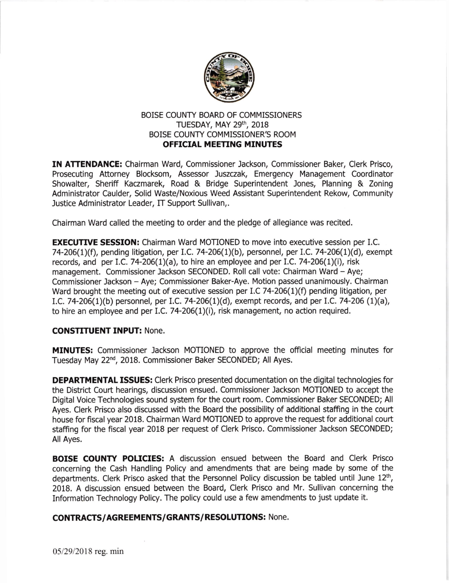

## BOISE COUNTY BOARD OF COMMISSIONERS TUESDAY, MAY 29th, 2018 BOISE COUNTY COMMISSIONER'S ROOM **OFFICIAL MEETING MINUTES**

IN ATTENDANCE: Chairman Ward, Commissioner Jackson, Commissioner Baker, Clerk Prisco, Prosecuting Attorney Blocksom, Assessor Juszczak, Emergency Management Coordinator Showalter, Sheriff Kaczmarek, Road & Bridge Superintendent Jones, Planning & Zoning Administrator Caulder, Solid Waste/Noxious Weed Assistant Superintendent Rekow, Community Justice Administrator Leader, IT Support Sullivan,.

Chairman Ward called the meeting to order and the pledge of allegiance was recited.

**EXECUTIVE SESSION:** Chairman Ward MOTIONED to move into executive session per I.C. 74-206(1)(f), pending litigation, per I.C. 74-206(1)(b), personnel, per I.C. 74-206(1)(d), exempt records, and per I.C. 74-206(1)(a), to hire an employee and per I.C. 74-206(1)(i), risk management. Commissioner Jackson SECONDED. Roll call vote: Chairman Ward - Aye; Commissioner Jackson - Aye; Commissioner Baker-Aye. Motion passed unanimously. Chairman Ward brought the meeting out of executive session per I.C 74-206(1)(f) pending litigation, per I.C. 74-206(1)(b) personnel, per I.C. 74-206(1)(d), exempt records, and per I.C. 74-206 (1)(a), to hire an employee and per I.C. 74-206(1)(i), risk management, no action required.

## CONSTITUENT INPUT: None.

**MINUTES:** Commissioner Jackson MOTIONED to approve the official meeting minutes for Tuesday May 22<sup>nd</sup>, 2018. Commissioner Baker SECONDED; All Ayes.

**DEPARTMENTAL ISSUES:** Clerk Prisco presented documentation on the digital technologies for the District Court hearings, discussion ensued. Commissioner Jackson MOTIONED to accept the Digital Voice Technologies sound system for the cout room. Commissioner Baker SECONDED; All Ayes. Clerk Prisco also discussed with the Board the possibility of additional staffing in the court house for fiscal year 2018. Chairman Ward MOTIONED to approve the request for additional court staffing for the fiscal year 2018 per request of Clerk Prisco. Commissioner Jackson SECONDED; All Ayes.

BOISE COUNTY POLICIES: A discussion ensued between the Board and Clerk Prisco concerning the Cash Handling Policy and amendments that are being made by some of the departments. Clerk Prisco asked that the Personnel Policy discussion be tabled until June 12<sup>th</sup>, 2018. A discussion ensued between the Board, Clerk Prisco and Mr. Sullivan concerning the Information Technology Policy. The policy could use a few amendments to just update it.

## CONTRACTS/AGREEMENTS/GRANTS/RESOLUTIONS: None.

05/29/2018 reg. min